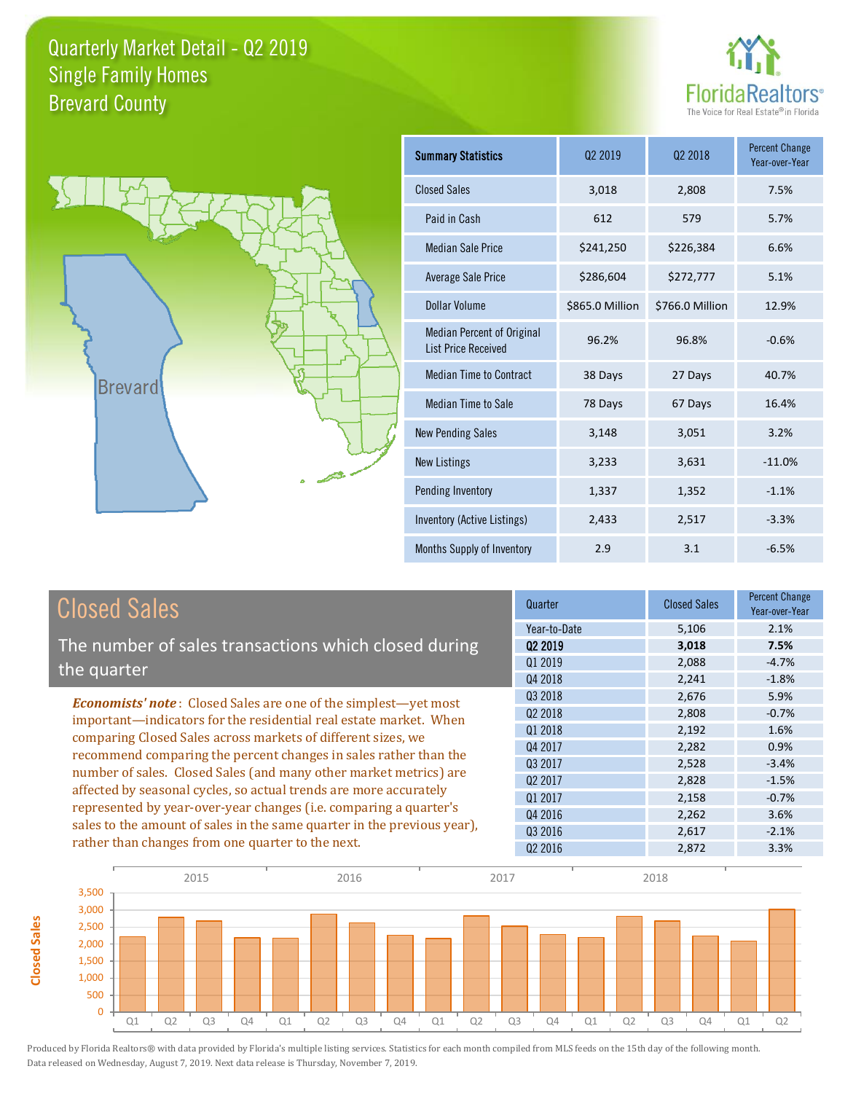



**Closed Sales**

**Closed Sales** 

| Summary Statistics                                              | 02 2019         | 02 2018         | <b>Percent Change</b><br>Year-over-Year |
|-----------------------------------------------------------------|-----------------|-----------------|-----------------------------------------|
| <b>Closed Sales</b>                                             | 3,018           | 2,808           | 7.5%                                    |
| Paid in Cash                                                    | 612             | 579             | 5.7%                                    |
| Median Sale Price                                               | \$241,250       | \$226,384       | 6.6%                                    |
| Average Sale Price                                              | \$286,604       | \$272,777       | 5.1%                                    |
| Dollar Volume                                                   | \$865.0 Million | \$766.0 Million | 12.9%                                   |
| <b>Median Percent of Original</b><br><b>List Price Received</b> | 96.2%           | 96.8%           | $-0.6%$                                 |
| <b>Median Time to Contract</b>                                  | 38 Days         | 27 Days         | 40.7%                                   |
| <b>Median Time to Sale</b>                                      | 78 Days         | 67 Days         | 16.4%                                   |
| <b>New Pending Sales</b>                                        | 3,148           | 3,051           | 3.2%                                    |
| <b>New Listings</b>                                             | 3,233           | 3,631           | $-11.0%$                                |
| Pending Inventory                                               | 1,337           | 1,352           | $-1.1%$                                 |
| Inventory (Active Listings)                                     | 2,433           | 2,517           | $-3.3%$                                 |
| Months Supply of Inventory                                      | 2.9             | 3.1             | $-6.5%$                                 |

| <b>Closed Sales</b>                                                                                                                                                                                                                                                                                                                                                                                                  | Quarter             | <b>Closed Sales</b> | <b>Percent Change</b><br>Year-over-Year |
|----------------------------------------------------------------------------------------------------------------------------------------------------------------------------------------------------------------------------------------------------------------------------------------------------------------------------------------------------------------------------------------------------------------------|---------------------|---------------------|-----------------------------------------|
|                                                                                                                                                                                                                                                                                                                                                                                                                      | Year-to-Date        | 5,106               | 2.1%                                    |
| The number of sales transactions which closed during                                                                                                                                                                                                                                                                                                                                                                 | 02 2019             | 3,018               | 7.5%                                    |
| the quarter                                                                                                                                                                                                                                                                                                                                                                                                          | Q1 2019             | 2,088               | $-4.7%$                                 |
|                                                                                                                                                                                                                                                                                                                                                                                                                      | Q4 2018             | 2,241               | $-1.8%$                                 |
| <b>Economists' note:</b> Closed Sales are one of the simplest—yet most                                                                                                                                                                                                                                                                                                                                               | Q3 2018             | 2,676               | 5.9%                                    |
| important—indicators for the residential real estate market. When<br>comparing Closed Sales across markets of different sizes, we<br>recommend comparing the percent changes in sales rather than the<br>number of sales. Closed Sales (and many other market metrics) are<br>affected by seasonal cycles, so actual trends are more accurately<br>represented by year-over-year changes (i.e. comparing a quarter's | 02 2018             | 2,808               | $-0.7%$                                 |
|                                                                                                                                                                                                                                                                                                                                                                                                                      | Q1 2018             | 2,192               | 1.6%                                    |
|                                                                                                                                                                                                                                                                                                                                                                                                                      | Q4 2017             | 2,282               | 0.9%                                    |
|                                                                                                                                                                                                                                                                                                                                                                                                                      | Q3 2017             | 2,528               | $-3.4%$                                 |
|                                                                                                                                                                                                                                                                                                                                                                                                                      | Q <sub>2</sub> 2017 | 2,828               | $-1.5%$                                 |
|                                                                                                                                                                                                                                                                                                                                                                                                                      | Q1 2017             | 2,158               | $-0.7%$                                 |
|                                                                                                                                                                                                                                                                                                                                                                                                                      | Q4 2016             | 2,262               | 3.6%                                    |
| sales to the amount of sales in the same quarter in the previous year),                                                                                                                                                                                                                                                                                                                                              | Q3 2016             | 2,617               | $-2.1%$                                 |
| rather than changes from one quarter to the next.                                                                                                                                                                                                                                                                                                                                                                    | 02 2016             | 2,872               | 3.3%                                    |

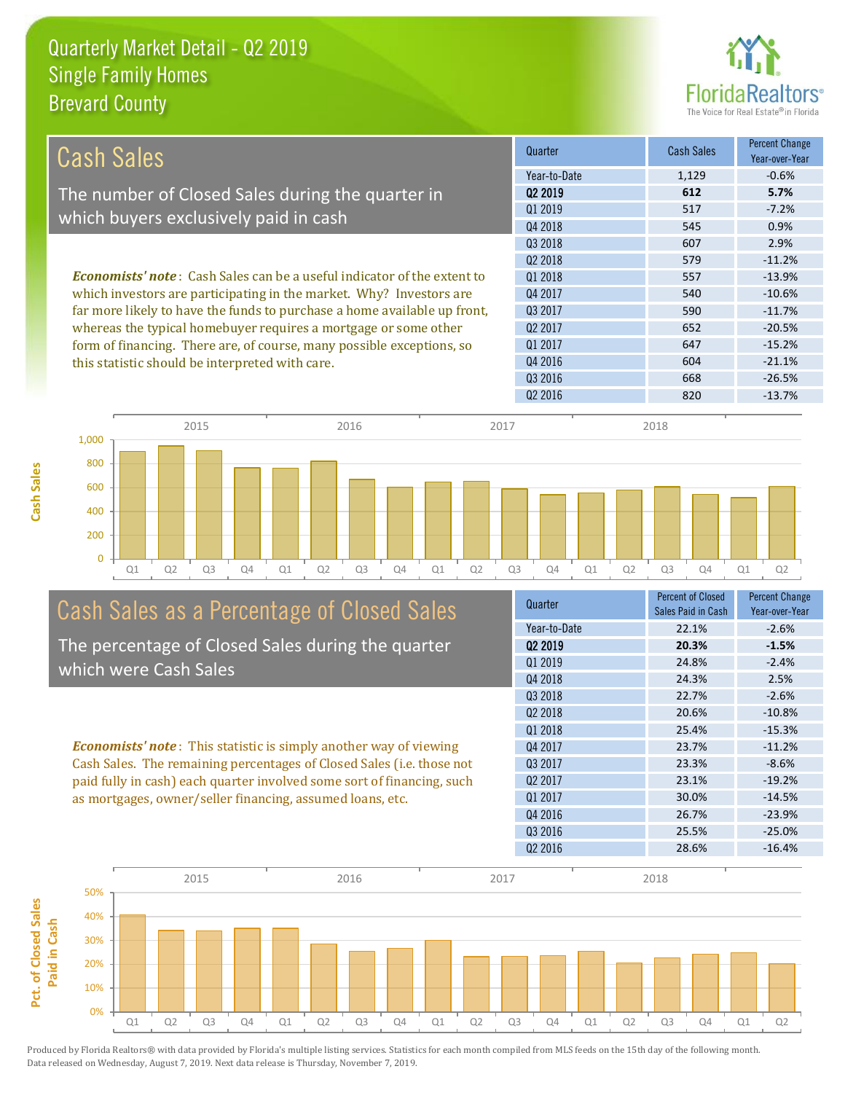

| <b>Cash Sales</b>                                                               | Quarter             | <b>Cash Sales</b> | Percent Change<br>Year-over-Year |
|---------------------------------------------------------------------------------|---------------------|-------------------|----------------------------------|
|                                                                                 | Year-to-Date        | 1,129             | $-0.6%$                          |
| The number of Closed Sales during the quarter in                                | 02 2019             | 612               | 5.7%                             |
|                                                                                 | 01 2019             | 517               | $-7.2%$                          |
| which buyers exclusively paid in cash                                           | Q4 2018             | 545               | 0.9%                             |
|                                                                                 | Q3 2018             | 607               | 2.9%                             |
|                                                                                 | 02 2018             | 579               | $-11.2%$                         |
| <b>Economists' note</b> : Cash Sales can be a useful indicator of the extent to | 01 2018             | 557               | $-13.9%$                         |
| which investors are participating in the market. Why? Investors are             | Q4 2017             | 540               | $-10.6%$                         |
| far more likely to have the funds to purchase a home available up front,        | 03 2017             | 590               | $-11.7%$                         |
| whereas the typical homebuyer requires a mortgage or some other                 | Q <sub>2</sub> 2017 | 652               | $-20.5%$                         |
| form of financing. There are, of course, many possible exceptions, so           | Q1 2017             | 647               | $-15.2%$                         |
| this statistic should be interpreted with care.                                 | Q4 2016             | 604               | $-21.1%$                         |
|                                                                                 | Q3 2016             | 668               | $-26.5%$                         |
|                                                                                 | Q <sub>2</sub> 2016 | 820               | $-13.7%$                         |



# Cash Sales as a Percentage of Closed Sales

The percentage of Closed Sales during the quarter which were Cash Sales

*Economists' note* : This statistic is simply another way of viewing Cash Sales. The remaining percentages of Closed Sales (i.e. those not paid fully in cash) each quarter involved some sort of financing, such as mortgages, owner/seller financing, assumed loans, etc.



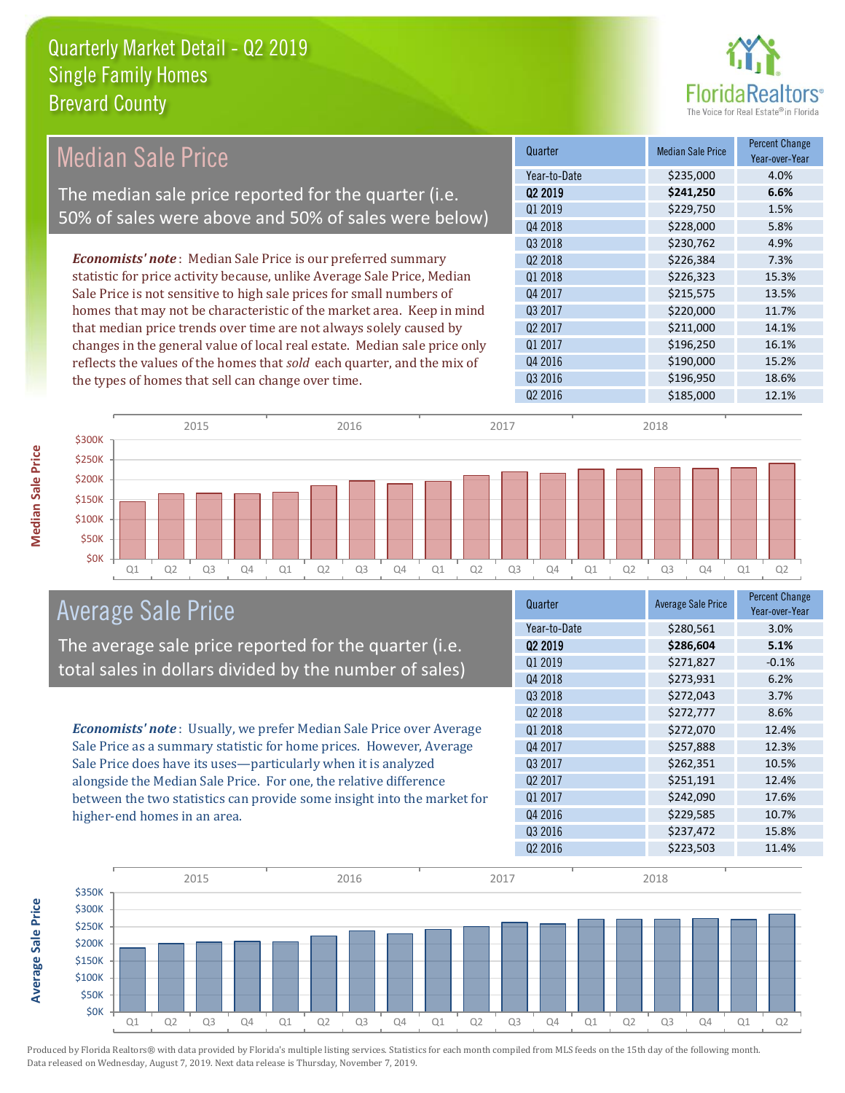

| <b>Median Sale Price</b>                                                  | Quarter             | <b>Median Sale Price</b> | <b>Percent Change</b><br>Year-over-Year |
|---------------------------------------------------------------------------|---------------------|--------------------------|-----------------------------------------|
|                                                                           | Year-to-Date        | \$235,000                | 4.0%                                    |
| The median sale price reported for the quarter (i.e.                      | Q2 2019             | \$241,250                | 6.6%                                    |
| 50% of sales were above and 50% of sales were below)                      | Q1 2019             | \$229,750                | 1.5%                                    |
|                                                                           | Q4 2018             | \$228,000                | 5.8%                                    |
|                                                                           | Q3 2018             | \$230,762                | 4.9%                                    |
| <b>Economists' note</b> : Median Sale Price is our preferred summary      | Q2 2018             | \$226,384                | 7.3%                                    |
| statistic for price activity because, unlike Average Sale Price, Median   | Q1 2018             | \$226,323                | 15.3%                                   |
| Sale Price is not sensitive to high sale prices for small numbers of      | Q4 2017             | \$215,575                | 13.5%                                   |
| homes that may not be characteristic of the market area. Keep in mind     | Q3 2017             | \$220,000                | 11.7%                                   |
| that median price trends over time are not always solely caused by        | Q2 2017             | \$211,000                | 14.1%                                   |
| changes in the general value of local real estate. Median sale price only | Q1 2017             | \$196,250                | 16.1%                                   |
| reflects the values of the homes that sold each quarter, and the mix of   | Q4 2016             | \$190,000                | 15.2%                                   |
| the types of homes that sell can change over time.                        | Q3 2016             | \$196,950                | 18.6%                                   |
|                                                                           | Q <sub>2</sub> 2016 | \$185,000                | 12.1%                                   |
| 2015<br>2016                                                              | 2017                | 2018                     |                                         |



### Average Sale Price

The average sale price reported for the quarter (i.e. total sales in dollars divided by the number of sales)

*Economists' note* : Usually, we prefer Median Sale Price over Average Sale Price as a summary statistic for home prices. However, Average Sale Price does have its uses—particularly when it is analyzed alongside the Median Sale Price. For one, the relative difference between the two statistics can provide some insight into the market for higher-end homes in an area.

| Quarter             | <b>Average Sale Price</b> | <b>Percent Change</b><br>Year-over-Year |
|---------------------|---------------------------|-----------------------------------------|
| Year-to-Date        | \$280,561                 | 3.0%                                    |
| 02 2019             | \$286,604                 | 5.1%                                    |
| 01 2019             | \$271,827                 | $-0.1%$                                 |
| Q4 2018             | \$273,931                 | 6.2%                                    |
| Q3 2018             | \$272,043                 | 3.7%                                    |
| 02 2018             | \$272,777                 | 8.6%                                    |
| Q1 2018             | \$272,070                 | 12.4%                                   |
| Q4 2017             | \$257,888                 | 12.3%                                   |
| Q3 2017             | \$262,351                 | 10.5%                                   |
| Q <sub>2</sub> 2017 | \$251,191                 | 12.4%                                   |
| Q1 2017             | \$242,090                 | 17.6%                                   |
| Q4 2016             | \$229,585                 | 10.7%                                   |
| Q3 2016             | \$237,472                 | 15.8%                                   |
| Q <sub>2</sub> 2016 | \$223,503                 | 11.4%                                   |
|                     |                           |                                         |



Produced by Florida Realtors® with data provided by Florida's multiple listing services. Statistics for each month compiled from MLS feeds on the 15th day of the following month.

Data released on Wednesday, August 7, 2019. Next data release is Thursday, November 7, 2019.

**Average Sale Price**

**Average Sale Price**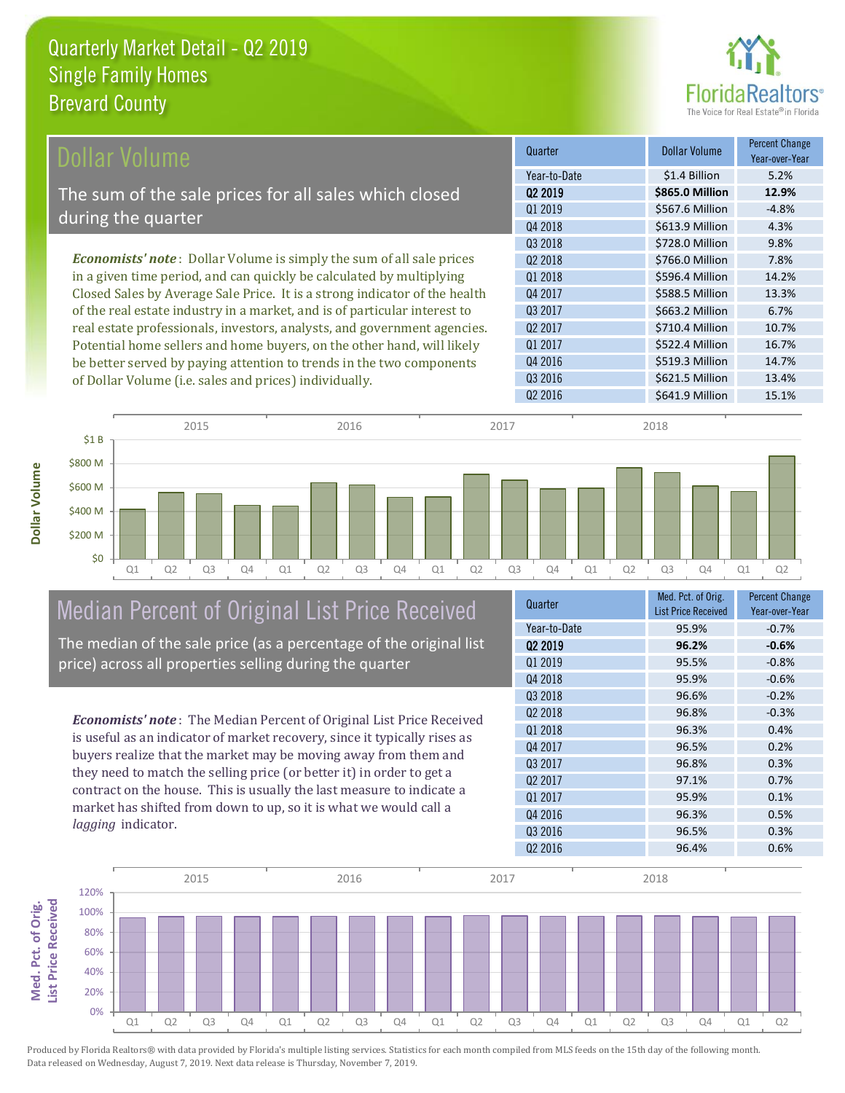

| <b>Dollar Volume</b>                                                        | Quarter             | <b>Dollar Volume</b> | <b>Percent Change</b><br>Year-over-Year |
|-----------------------------------------------------------------------------|---------------------|----------------------|-----------------------------------------|
|                                                                             | Year-to-Date        | \$1.4 Billion        | 5.2%                                    |
| The sum of the sale prices for all sales which closed                       | 02 2019             | \$865.0 Million      | 12.9%                                   |
|                                                                             | 01 2019             | \$567.6 Million      | $-4.8%$                                 |
| during the quarter                                                          | Q4 2018             | \$613.9 Million      | 4.3%                                    |
|                                                                             | 03 2018             | \$728.0 Million      | 9.8%                                    |
| <b>Economists' note:</b> Dollar Volume is simply the sum of all sale prices | Q <sub>2</sub> 2018 | \$766.0 Million      | 7.8%                                    |
| in a given time period, and can quickly be calculated by multiplying        | Q1 2018             | \$596.4 Million      | 14.2%                                   |
| Closed Sales by Average Sale Price. It is a strong indicator of the health  | Q4 2017             | \$588.5 Million      | 13.3%                                   |
| of the real estate industry in a market, and is of particular interest to   | Q3 2017             | \$663.2 Million      | 6.7%                                    |
| real estate professionals, investors, analysts, and government agencies.    | Q <sub>2</sub> 2017 | \$710.4 Million      | 10.7%                                   |
| Potential home sellers and home buyers, on the other hand, will likely      | Q1 2017             | \$522.4 Million      | 16.7%                                   |
| be better served by paying attention to trends in the two components        | Q4 2016             | \$519.3 Million      | 14.7%                                   |
| of Dollar Volume (i.e. sales and prices) individually                       | Q3 2016             | \$621.5 Million      | 13.4%                                   |



# Median Percent of Original List Price Received

of Dollar Volume (i.e. sales and prices) individually.

The median of the sale price (as a percentage of the original list price) across all properties selling during the quarter

*Economists' note* : The Median Percent of Original List Price Received is useful as an indicator of market recovery, since it typically rises as buyers realize that the market may be moving away from them and they need to match the selling price (or better it) in order to get a contract on the house. This is usually the last measure to indicate a market has shifted from down to up, so it is what we would call a *lagging* indicator.

| Quarter      | Med. Pct. of Orig.<br><b>List Price Received</b> | <b>Percent Change</b><br>Year-over-Year |
|--------------|--------------------------------------------------|-----------------------------------------|
| Year-to-Date | 95.9%                                            | $-0.7%$                                 |
| 02 2019      | 96.2%                                            | $-0.6%$                                 |
| Q1 2019      | 95.5%                                            | $-0.8%$                                 |
| Q4 2018      | 95.9%                                            | $-0.6%$                                 |
| 03 2018      | 96.6%                                            | $-0.2%$                                 |
| 02 2018      | 96.8%                                            | $-0.3%$                                 |
| Q1 2018      | 96.3%                                            | 0.4%                                    |
| Q4 2017      | 96.5%                                            | 0.2%                                    |
| 03 2017      | 96.8%                                            | 0.3%                                    |
| 02 2017      | 97.1%                                            | 0.7%                                    |
| Q1 2017      | 95.9%                                            | 0.1%                                    |
| Q4 2016      | 96.3%                                            | 0.5%                                    |
| Q3 2016      | 96.5%                                            | 0.3%                                    |
| Q2 2016      | 96.4%                                            | 0.6%                                    |

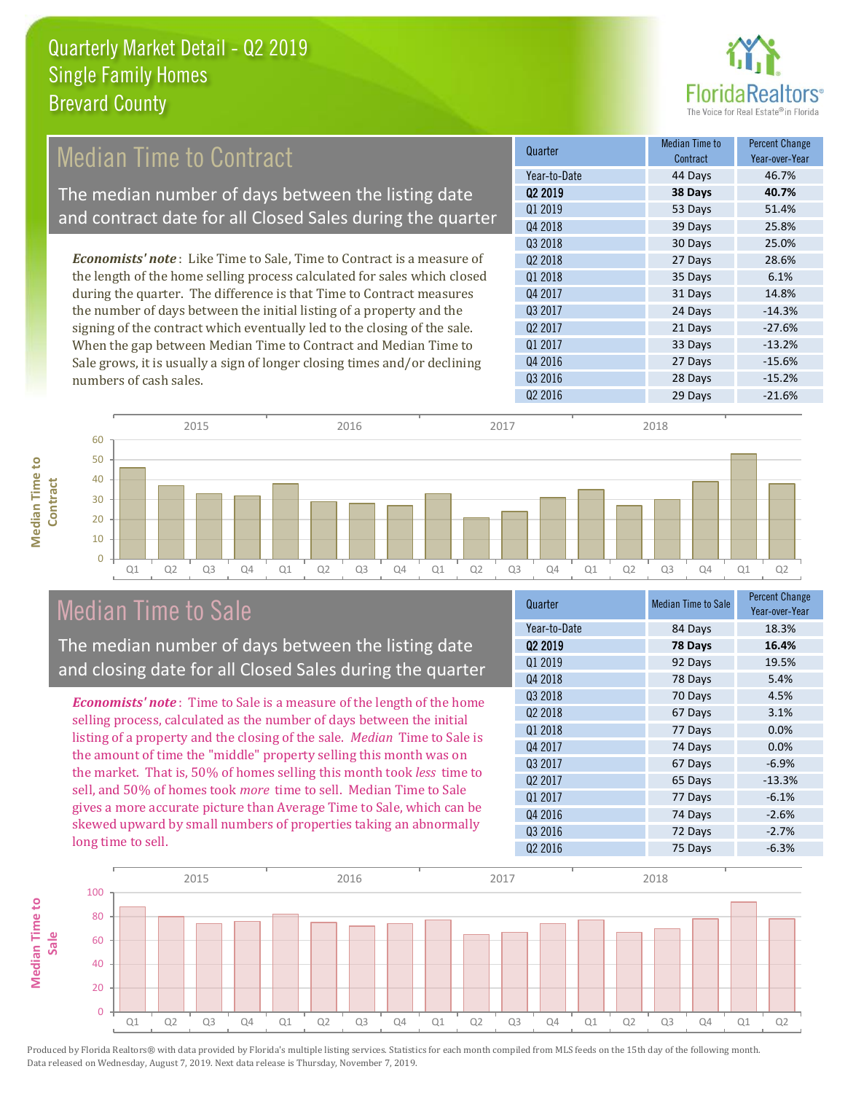

#### **Quarter Median Time to All According to All According Median Time to All According to All According to All According to All According to All According to All According to All According to All According to All According to Contract** Q4 2018 *Economists' note* : Like Time to Sale, Time to Contract is a measure of Median Time to Contract The median number of days between the listing date and contract date for all Closed Sales during the quarter

the length of the home selling process calculated for sales which closed during the quarter. The difference is that Time to Contract measures the number of days between the initial listing of a property and the signing of the contract which eventually led to the closing of the sale. When the gap between Median Time to Contract and Median Time to Sale grows, it is usually a sign of longer closing times and/or declining numbers of cash sales.





### Median Time to Sale

**Median Time to** 

**Median Time to** 

The median number of days between the listing date and closing date for all Closed Sales during the quarter

*Economists' note* : Time to Sale is a measure of the length of the home selling process, calculated as the number of days between the initial listing of a property and the closing of the sale. *Median* Time to Sale is the amount of time the "middle" property selling this month was on the market. That is, 50% of homes selling this month took *less* time to sell, and 50% of homes took *more* time to sell. Median Time to Sale gives a more accurate picture than Average Time to Sale, which can be skewed upward by small numbers of properties taking an abnormally long time to sell.

| Quarter             | <b>Median Time to Sale</b> | <b>Percent Change</b><br>Year-over-Year |
|---------------------|----------------------------|-----------------------------------------|
| Year-to-Date        | 84 Days                    | 18.3%                                   |
| Q <sub>2</sub> 2019 | 78 Days                    | 16.4%                                   |
| Q1 2019             | 92 Days                    | 19.5%                                   |
| Q4 2018             | 78 Days                    | 5.4%                                    |
| Q3 2018             | 70 Days                    | 4.5%                                    |
| Q <sub>2</sub> 2018 | 67 Days                    | 3.1%                                    |
| Q1 2018             | 77 Days                    | 0.0%                                    |
| Q4 2017             | 74 Days                    | 0.0%                                    |
| 03 2017             | 67 Days                    | $-6.9%$                                 |
| Q <sub>2</sub> 2017 | 65 Days                    | $-13.3%$                                |
| Q1 2017             | 77 Days                    | $-6.1%$                                 |
| Q4 2016             | 74 Days                    | $-2.6%$                                 |
| Q3 2016             | 72 Days                    | $-2.7%$                                 |
| Q <sub>2</sub> 2016 | 75 Days                    | $-6.3%$                                 |

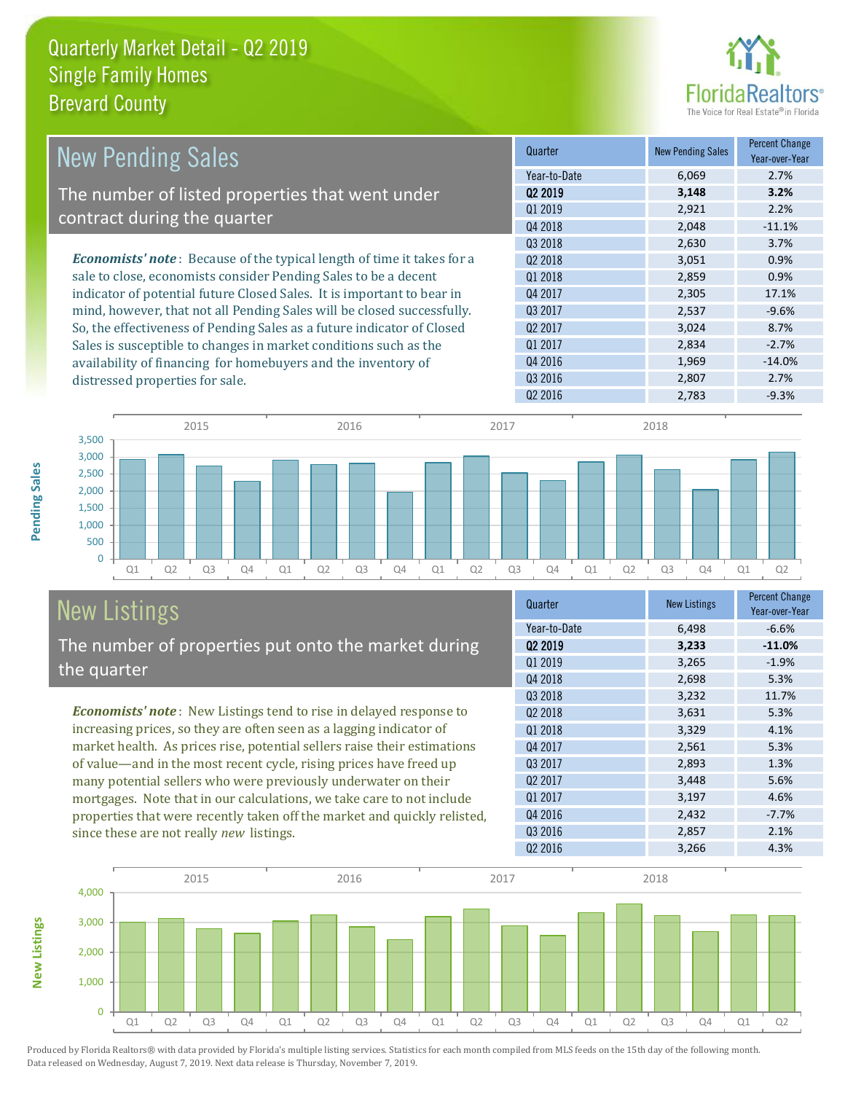

| <b>New Pending Sales</b>                                                      | Quarter             | <b>New Pending Sales</b> | <b>Percent Change</b><br>Year-over-Year |
|-------------------------------------------------------------------------------|---------------------|--------------------------|-----------------------------------------|
|                                                                               | Year-to-Date        | 6,069                    | 2.7%                                    |
| The number of listed properties that went under                               | 02 2019             | 3,148                    | 3.2%                                    |
| contract during the quarter                                                   | Q1 2019             | 2,921                    | 2.2%                                    |
|                                                                               | Q4 2018             | 2,048                    | $-11.1%$                                |
|                                                                               | Q3 2018             | 2,630                    | 3.7%                                    |
| <b>Economists' note:</b> Because of the typical length of time it takes for a | 02 2018             | 3,051                    | 0.9%                                    |
| sale to close, economists consider Pending Sales to be a decent               | Q1 2018             | 2,859                    | 0.9%                                    |
| indicator of potential future Closed Sales. It is important to bear in        | Q4 2017             | 2,305                    | 17.1%                                   |
| mind, however, that not all Pending Sales will be closed successfully.        | Q3 2017             | 2,537                    | $-9.6%$                                 |
| So, the effectiveness of Pending Sales as a future indicator of Closed        | Q <sub>2</sub> 2017 | 3,024                    | 8.7%                                    |
| Sales is susceptible to changes in market conditions such as the              | Q1 2017             | 2,834                    | $-2.7%$                                 |
| availability of financing for homebuyers and the inventory of                 | Q4 2016             | 1,969                    | $-14.0%$                                |
| distressed properties for sale.                                               | Q3 2016             | 2,807                    | 2.7%                                    |



#### New Listings The number of properties put onto the market during the quarter

*Economists' note* : New Listings tend to rise in delayed response to increasing prices, so they are often seen as a lagging indicator of market health. As prices rise, potential sellers raise their estimations of value—and in the most recent cycle, rising prices have freed up many potential sellers who were previously underwater on their mortgages. Note that in our calculations, we take care to not include properties that were recently taken off the market and quickly relisted, since these are not really *new* listings.

| Quarter             | <b>New Listings</b> | <b>Percent Change</b><br>Year-over-Year |
|---------------------|---------------------|-----------------------------------------|
| Year-to-Date        | 6,498               | $-6.6%$                                 |
| Q <sub>2</sub> 2019 | 3,233               | $-11.0%$                                |
| Q1 2019             | 3,265               | $-1.9%$                                 |
| Q4 2018             | 2,698               | 5.3%                                    |
| Q3 2018             | 3,232               | 11.7%                                   |
| 02 2018             | 3,631               | 5.3%                                    |
| Q1 2018             | 3,329               | 4.1%                                    |
| Q4 2017             | 2,561               | 5.3%                                    |
| Q3 2017             | 2,893               | 1.3%                                    |
| Q <sub>2</sub> 2017 | 3,448               | 5.6%                                    |
| Q1 2017             | 3,197               | 4.6%                                    |
| Q4 2016             | 2,432               | $-7.7%$                                 |
| Q3 2016             | 2,857               | 2.1%                                    |
| 02 2016             | 3,266               | 4.3%                                    |

 $Q2\,2016$  2,783  $-9.3\%$ 



Produced by Florida Realtors® with data provided by Florida's multiple listing services. Statistics for each month compiled from MLS feeds on the 15th day of the following month. Data released on Wednesday, August 7, 2019. Next data release is Thursday, November 7, 2019.

**New Listings**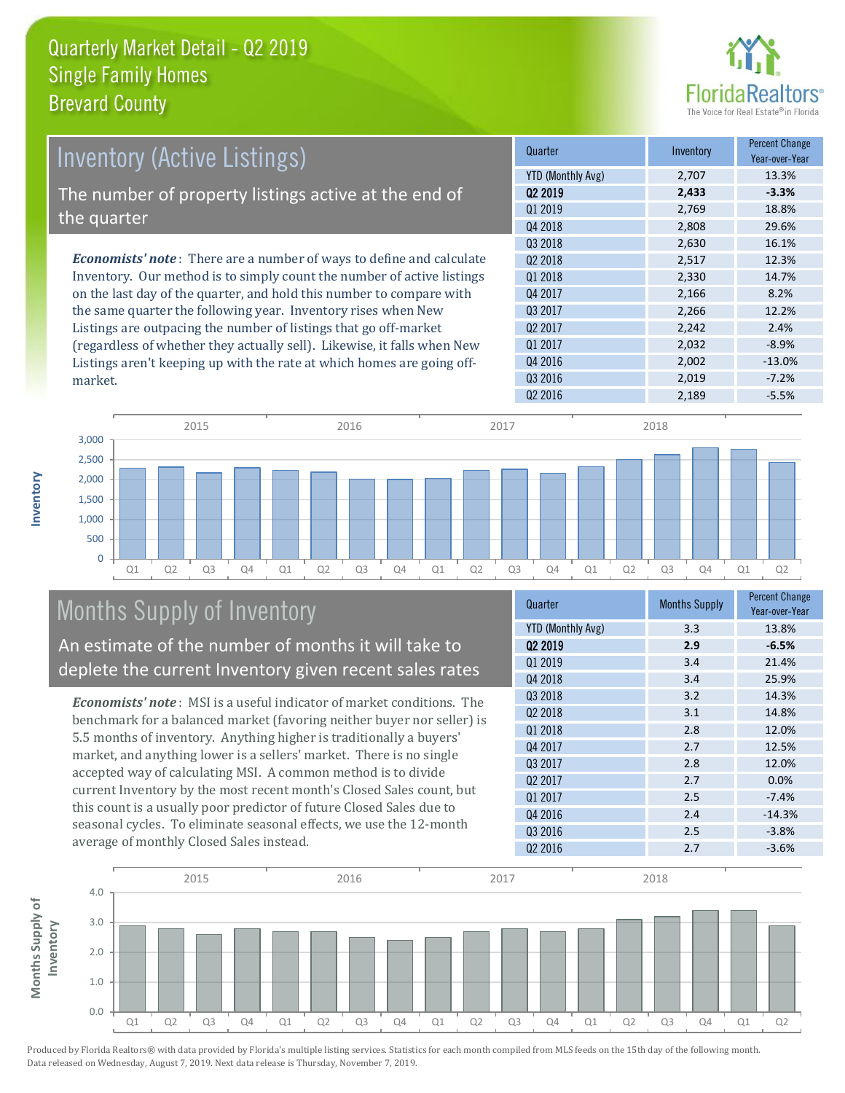

| <b>Inventory (Active Listings)</b>                                           | Quarter             | Inventory | <b>Percent Change</b><br>Year-over-Year |
|------------------------------------------------------------------------------|---------------------|-----------|-----------------------------------------|
|                                                                              | YTD (Monthly Avg)   | 2,707     | 13.3%                                   |
| The number of property listings active at the end of                         | 02 2019             | 2,433     | $-3.3%$                                 |
|                                                                              | Q1 2019             | 2.769     | 18.8%                                   |
| the quarter                                                                  | Q4 2018             | 2,808     | 29.6%                                   |
|                                                                              | Q3 2018             | 2,630     | 16.1%                                   |
| <b>Economists' note</b> : There are a number of ways to define and calculate | 02 2018             | 2,517     | 12.3%                                   |
| Inventory. Our method is to simply count the number of active listings       | 01 2018             | 2,330     | 14.7%                                   |
| on the last day of the quarter, and hold this number to compare with         | Q4 2017             | 2,166     | 8.2%                                    |
| the same quarter the following year. Inventory rises when New                | Q3 2017             | 2,266     | 12.2%                                   |
| Listings are outpacing the number of listings that go off-market             | Q <sub>2</sub> 2017 | 2,242     | 2.4%                                    |
| (regardless of whether they actually sell). Likewise, it falls when New      | Q1 2017             | 2,032     | $-8.9%$                                 |
| Listings aren't keeping up with the rate at which homes are going off-       | Q4 2016             | 2,002     | $-13.0%$                                |



### Months Supply of Inventory

An estimate of the number of months it will take to deplete the current Inventory given recent sales rates

*Economists' note* : MSI is a useful indicator of market conditions. The benchmark for a balanced market (favoring neither buyer nor seller) is 5.5 months of inventory. Anything higher is traditionally a buyers' market, and anything lower is a sellers' market. There is no single accepted way of calculating MSI. A common method is to divide current Inventory by the most recent month's Closed Sales count, but this count is a usually poor predictor of future Closed Sales due to seasonal cycles. To eliminate seasonal effects, we use the 12-month average of monthly Closed Sales instead.

| Quarter                  | <b>Months Supply</b> | <b>Percent Change</b><br>Year-over-Year |
|--------------------------|----------------------|-----------------------------------------|
| <b>YTD (Monthly Avg)</b> | 3.3                  | 13.8%                                   |
| 02 2019                  | 2.9                  | $-6.5%$                                 |
| Q1 2019                  | 3.4                  | 21.4%                                   |
| Q4 2018                  | 3.4                  | 25.9%                                   |
| Q3 2018                  | 3.2                  | 14.3%                                   |
| 02 2018                  | 3.1                  | 14.8%                                   |
| Q1 2018                  | 2.8                  | 12.0%                                   |
| Q4 2017                  | 2.7                  | 12.5%                                   |
| Q3 2017                  | 2.8                  | 12.0%                                   |
| Q <sub>2</sub> 2017      | 2.7                  | 0.0%                                    |
| Q1 2017                  | 2.5                  | $-7.4%$                                 |
| Q4 2016                  | 2.4                  | $-14.3%$                                |
| Q3 2016                  | 2.5                  | $-3.8%$                                 |
| Q <sub>2</sub> 2016      | 2.7                  | $-3.6%$                                 |

Q3 2016 2,019 -7.2%



Produced by Florida Realtors® with data provided by Florida's multiple listing services. Statistics for each month compiled from MLS feeds on the 15th day of the following month. Data released on Wednesday, August 7, 2019. Next data release is Thursday, November 7, 2019.

market.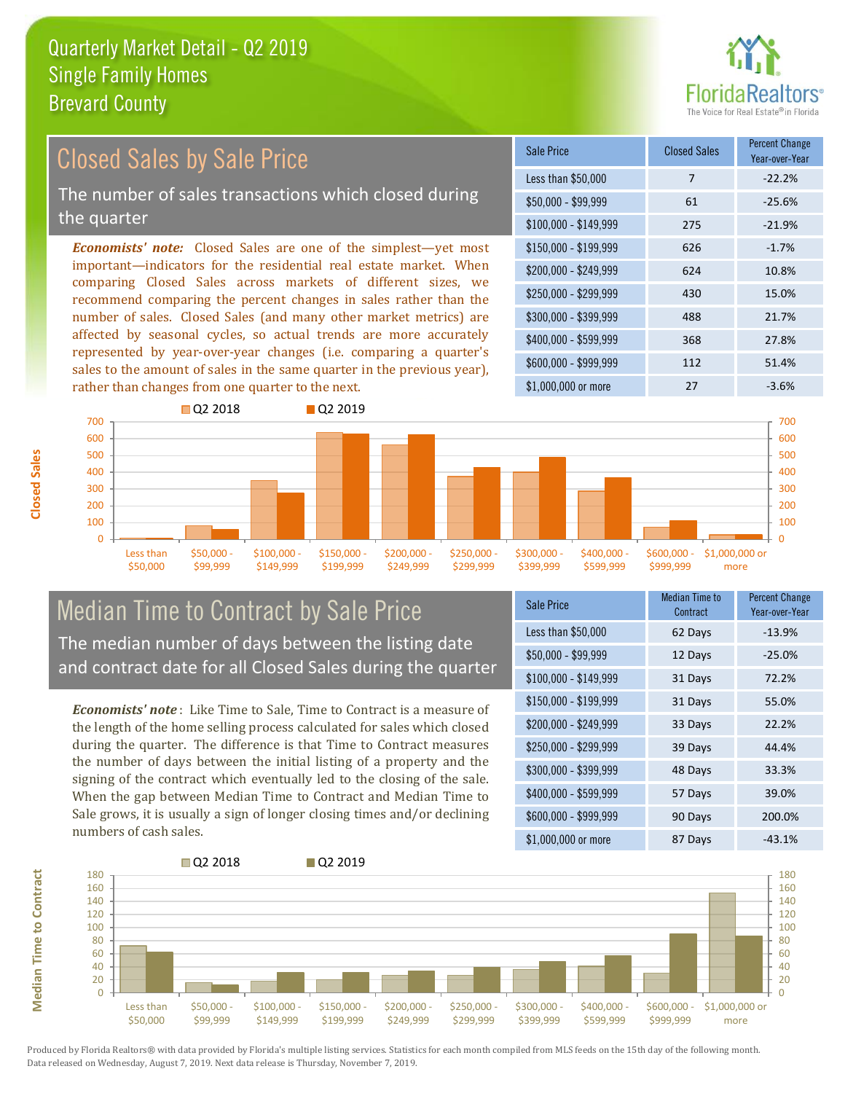

#### *Economists' note:* Closed Sales are one of the simplest—yet most important—indicators for the residential real estate market. When comparing Closed Sales across markets of different sizes, we recommend comparing the percent changes in sales rather than the number of sales. Closed Sales (and many other market metrics) are affected by seasonal cycles, so actual trends are more accurately represented by year-over-year changes (i.e. comparing a quarter's sales to the amount of sales in the same quarter in the previous year), rather than changes from one quarter to the next. \$1,000,000 or more 27 3.6% \$250,000 - \$299,999 430 15.0% \$300,000 - \$399,999 488 21.7% \$400,000 - \$599,999 368 27.8% \$600,000 - \$999,999 112 51.4% \$150,000 - \$199,999 626 -1.7% \$200,000 - \$249,999 624 10.8% \$100,000 - \$149,999 275 -21.9% Sale Price Closed Sales Percent Change Year-over-Year Less than \$50,000 7 7 -22.2%  $$50.000 - $99.999$  61 -25.6% **Q2 2018** Q2 2019 Closed Sales by Sale Price The number of sales transactions which closed during the quarter



#### Median Time to Contract by Sale Price The median number of days between the listing date and contract date for all Closed Sales during the quarter

*Economists' note* : Like Time to Sale, Time to Contract is a measure of the length of the home selling process calculated for sales which closed during the quarter. The difference is that Time to Contract measures the number of days between the initial listing of a property and the signing of the contract which eventually led to the closing of the sale. When the gap between Median Time to Contract and Median Time to Sale grows, it is usually a sign of longer closing times and/or declining numbers of cash sales.

| <b>Sale Price</b>     | Median Time to<br>Contract | <b>Percent Change</b><br>Year-over-Year |
|-----------------------|----------------------------|-----------------------------------------|
| Less than \$50,000    | 62 Days                    | $-13.9%$                                |
| $$50,000 - $99,999$   | 12 Days                    | $-25.0%$                                |
| $$100,000 - $149,999$ | 31 Days                    | 72.2%                                   |
| $$150,000 - $199,999$ | 31 Days                    | 55.0%                                   |
| \$200,000 - \$249,999 | 33 Days                    | 22.2%                                   |
| \$250,000 - \$299,999 | 39 Days                    | 44.4%                                   |
| \$300,000 - \$399,999 | 48 Days                    | 33.3%                                   |
| \$400,000 - \$599,999 | 57 Days                    | 39.0%                                   |
| \$600,000 - \$999,999 | 90 Days                    | 200.0%                                  |
| \$1,000,000 or more   | 87 Days                    | $-43.1%$                                |



Produced by Florida Realtors® with data provided by Florida's multiple listing services. Statistics for each month compiled from MLS feeds on the 15th day of the following month. Data released on Wednesday, August 7, 2019. Next data release is Thursday, November 7, 2019.

**Median Time to Contract**

**Median Time to Contract**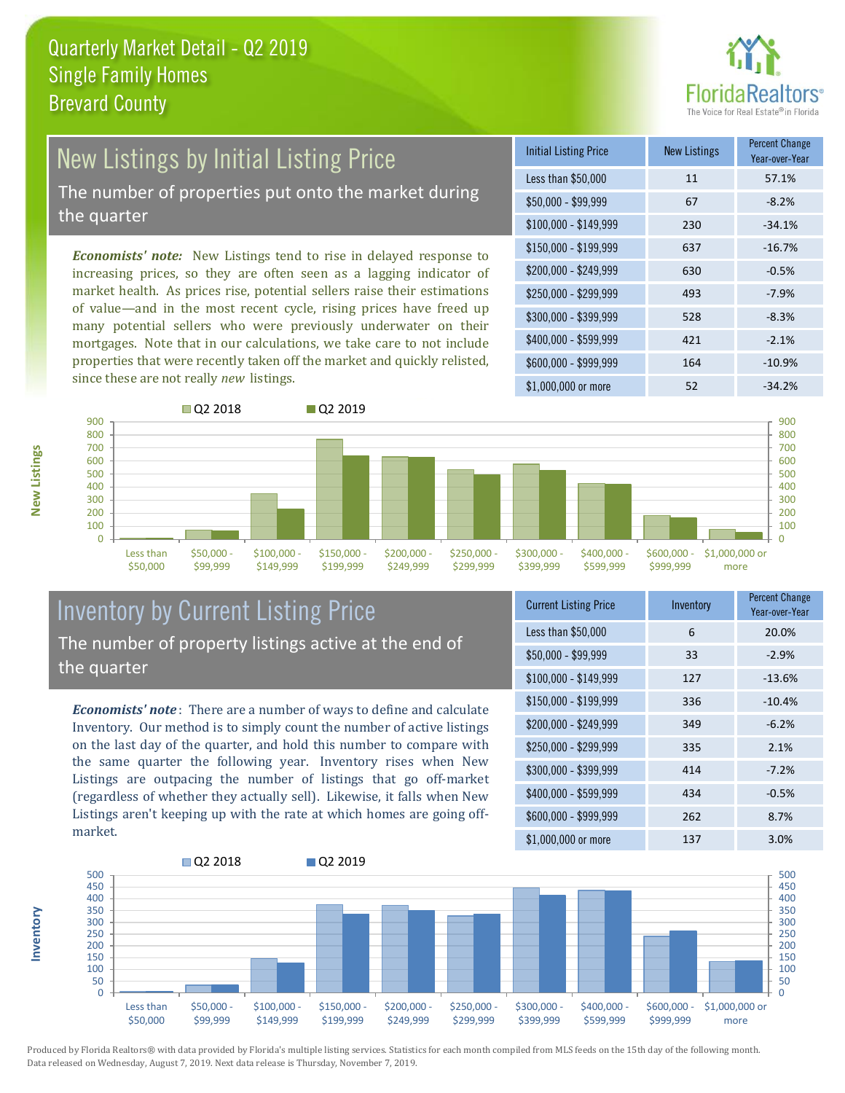

## New Listings by Initial Listing Price

The number of properties put onto the market during the quarter

*Economists' note:* New Listings tend to rise in delayed response to increasing prices, so they are often seen as a lagging indicator of market health. As prices rise, potential sellers raise their estimations of value—and in the most recent cycle, rising prices have freed up many potential sellers who were previously underwater on their mortgages. Note that in our calculations, we take care to not include properties that were recently taken off the market and quickly relisted, since these are not really *new* listings.

| <b>Initial Listing Price</b> | <b>New Listings</b> | <b>Percent Change</b><br>Year-over-Year |
|------------------------------|---------------------|-----------------------------------------|
| Less than \$50,000           | 11                  | 57.1%                                   |
| $$50,000 - $99,999$          | 67                  | $-8.2%$                                 |
| $$100,000 - $149,999$        | 230                 | $-34.1%$                                |
| $$150,000 - $199,999$        | 637                 | $-16.7%$                                |
| \$200,000 - \$249,999        | 630                 | $-0.5%$                                 |
| \$250,000 - \$299,999        | 493                 | $-7.9%$                                 |
| \$300,000 - \$399,999        | 528                 | $-8.3%$                                 |
| \$400,000 - \$599,999        | 421                 | $-2.1%$                                 |
| \$600,000 - \$999,999        | 164                 | $-10.9%$                                |
| \$1,000,000 or more          | 52                  | $-34.2%$                                |



#### Inventory by Current Listing Price The number of property listings active at the end of the quarter

*Economists' note* : There are a number of ways to define and calculate Inventory. Our method is to simply count the number of active listings on the last day of the quarter, and hold this number to compare with the same quarter the following year. Inventory rises when New Listings are outpacing the number of listings that go off-market (regardless of whether they actually sell). Likewise, it falls when New Listings aren't keeping up with the rate at which homes are going offmarket.

| <b>Current Listing Price</b> | Inventory | <b>Percent Change</b><br>Year-over-Year |
|------------------------------|-----------|-----------------------------------------|
| Less than \$50,000           | 6         | 20.0%                                   |
| $$50,000 - $99,999$          | 33        | $-2.9%$                                 |
| $$100,000 - $149,999$        | 127       | $-13.6%$                                |
| $$150,000 - $199,999$        | 336       | $-10.4%$                                |
| \$200,000 - \$249,999        | 349       | $-6.2%$                                 |
| \$250,000 - \$299,999        | 335       | 2.1%                                    |
| \$300,000 - \$399,999        | 414       | $-7.2%$                                 |
| \$400,000 - \$599,999        | 434       | $-0.5%$                                 |
| \$600,000 - \$999,999        | 262       | 8.7%                                    |
| \$1,000,000 or more          | 137       | 3.0%                                    |



Produced by Florida Realtors® with data provided by Florida's multiple listing services. Statistics for each month compiled from MLS feeds on the 15th day of the following month. Data released on Wednesday, August 7, 2019. Next data release is Thursday, November 7, 2019.

**Inventory**